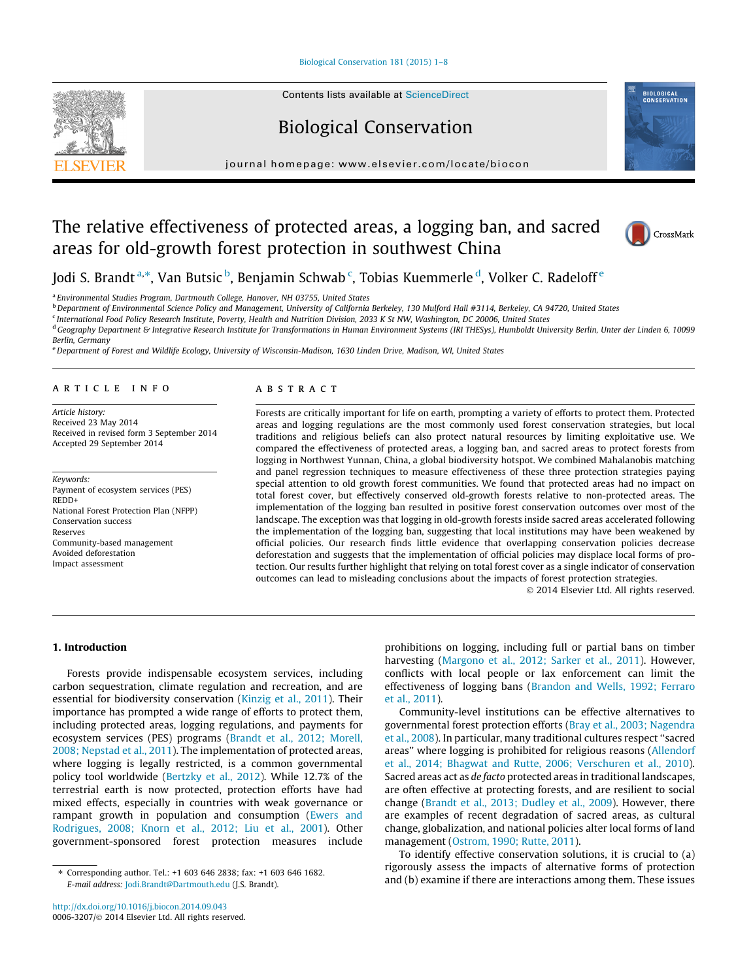[Biological Conservation 181 \(2015\) 1–8](http://dx.doi.org/10.1016/j.biocon.2014.09.043)

Contents lists available at [ScienceDirect](http://www.sciencedirect.com/science/journal/00063207)

# Biological Conservation

journal homepage: [www.elsevier.com/locate/biocon](http://www.elsevier.com/locate/biocon)

# The relative effectiveness of protected areas, a logging ban, and sacred areas for old-growth forest protection in southwest China



**BIOLOGICAL**<br>CONSERVATION

Jodi S. Brandt <sup>a,</sup>\*, Van Butsic <sup>b</sup>, Benjamin Schwab <sup>c</sup>, Tobias Kuemmerle <sup>d</sup>, Volker C. Radeloff <sup>e</sup>

<sup>a</sup> Environmental Studies Program, Dartmouth College, Hanover, NH 03755, United States

<sup>b</sup> Department of Environmental Science Policy and Management, University of California Berkeley, 130 Mulford Hall #3114, Berkeley, CA 94720, United States

<sup>c</sup> International Food Policy Research Institute, Poverty, Health and Nutrition Division, 2033 K St NW, Washington, DC 20006, United States

<sup>d</sup> Geography Department & Integrative Research Institute for Transformations in Human Environment Systems (IRI THESys), Humboldt University Berlin, Unter der Linden 6, 10099 Berlin, Germany

e Department of Forest and Wildlife Ecology, University of Wisconsin-Madison, 1630 Linden Drive, Madison, WI, United States

#### article info

Article history: Received 23 May 2014 Received in revised form 3 September 2014 Accepted 29 September 2014

Keywords: Payment of ecosystem services (PES) REDD+ National Forest Protection Plan (NFPP) Conservation success Reserves Community-based management Avoided deforestation Impact assessment

### ABSTRACT

Forests are critically important for life on earth, prompting a variety of efforts to protect them. Protected areas and logging regulations are the most commonly used forest conservation strategies, but local traditions and religious beliefs can also protect natural resources by limiting exploitative use. We compared the effectiveness of protected areas, a logging ban, and sacred areas to protect forests from logging in Northwest Yunnan, China, a global biodiversity hotspot. We combined Mahalanobis matching and panel regression techniques to measure effectiveness of these three protection strategies paying special attention to old growth forest communities. We found that protected areas had no impact on total forest cover, but effectively conserved old-growth forests relative to non-protected areas. The implementation of the logging ban resulted in positive forest conservation outcomes over most of the landscape. The exception was that logging in old-growth forests inside sacred areas accelerated following the implementation of the logging ban, suggesting that local institutions may have been weakened by official policies. Our research finds little evidence that overlapping conservation policies decrease deforestation and suggests that the implementation of official policies may displace local forms of protection. Our results further highlight that relying on total forest cover as a single indicator of conservation outcomes can lead to misleading conclusions about the impacts of forest protection strategies.

- 2014 Elsevier Ltd. All rights reserved.

## 1. Introduction

Forests provide indispensable ecosystem services, including carbon sequestration, climate regulation and recreation, and are essential for biodiversity conservation ([Kinzig et al., 2011\)](#page--1-0). Their importance has prompted a wide range of efforts to protect them, including protected areas, logging regulations, and payments for ecosystem services (PES) programs [\(Brandt et al., 2012; Morell,](#page--1-0) [2008; Nepstad et al., 2011\)](#page--1-0). The implementation of protected areas, where logging is legally restricted, is a common governmental policy tool worldwide ([Bertzky et al., 2012\)](#page--1-0). While 12.7% of the terrestrial earth is now protected, protection efforts have had mixed effects, especially in countries with weak governance or rampant growth in population and consumption [\(Ewers and](#page--1-0) [Rodrigues, 2008; Knorn et al., 2012; Liu et al., 2001\)](#page--1-0). Other government-sponsored forest protection measures include

prohibitions on logging, including full or partial bans on timber harvesting [\(Margono et al., 2012; Sarker et al., 2011](#page--1-0)). However, conflicts with local people or lax enforcement can limit the effectiveness of logging bans [\(Brandon and Wells, 1992; Ferraro](#page--1-0) [et al., 2011\)](#page--1-0).

Community-level institutions can be effective alternatives to governmental forest protection efforts ([Bray et al., 2003; Nagendra](#page--1-0) [et al., 2008\)](#page--1-0). In particular, many traditional cultures respect ''sacred areas'' where logging is prohibited for religious reasons ([Allendorf](#page--1-0) [et al., 2014; Bhagwat and Rutte, 2006; Verschuren et al., 2010\)](#page--1-0). Sacred areas act as de facto protected areas in traditional landscapes, are often effective at protecting forests, and are resilient to social change [\(Brandt et al., 2013; Dudley et al., 2009\)](#page--1-0). However, there are examples of recent degradation of sacred areas, as cultural change, globalization, and national policies alter local forms of land management [\(Ostrom, 1990; Rutte, 2011](#page--1-0)).

To identify effective conservation solutions, it is crucial to (a) rigorously assess the impacts of alternative forms of protection and (b) examine if there are interactions among them. These issues

<sup>⇑</sup> Corresponding author. Tel.: +1 603 646 2838; fax: +1 603 646 1682. E-mail address: [Jodi.Brandt@Dartmouth.edu](mailto:Jodi.Brandt@Dartmouth.edu) (J.S. Brandt).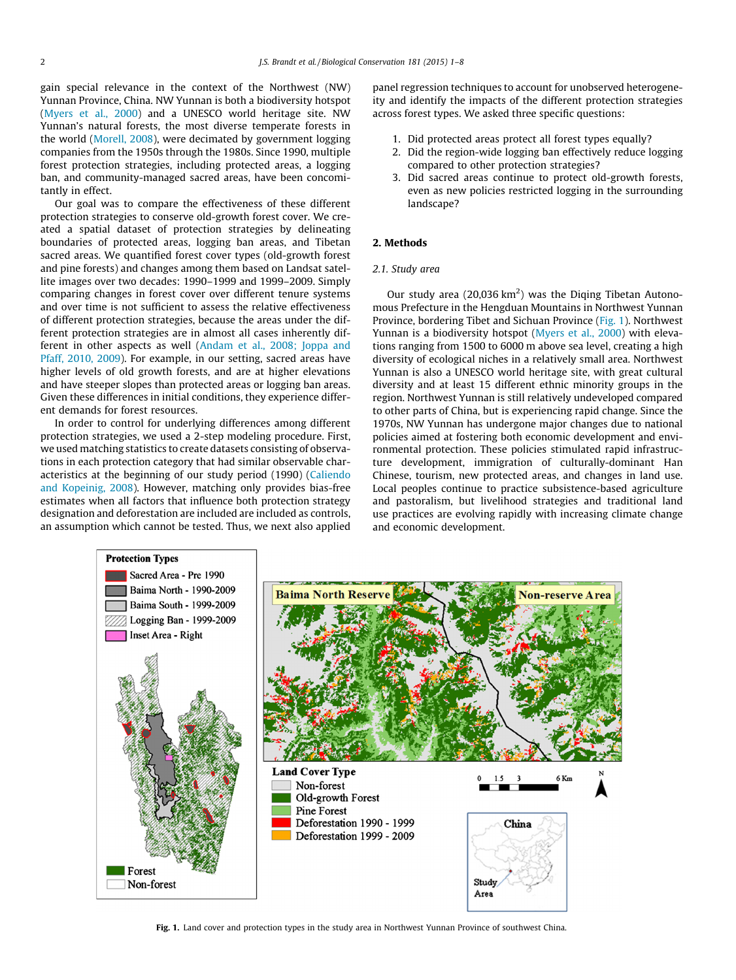gain special relevance in the context of the Northwest (NW) Yunnan Province, China. NW Yunnan is both a biodiversity hotspot ([Myers et al., 2000](#page--1-0)) and a UNESCO world heritage site. NW Yunnan's natural forests, the most diverse temperate forests in the world ([Morell, 2008](#page--1-0)), were decimated by government logging companies from the 1950s through the 1980s. Since 1990, multiple forest protection strategies, including protected areas, a logging ban, and community-managed sacred areas, have been concomitantly in effect.

Our goal was to compare the effectiveness of these different protection strategies to conserve old-growth forest cover. We created a spatial dataset of protection strategies by delineating boundaries of protected areas, logging ban areas, and Tibetan sacred areas. We quantified forest cover types (old-growth forest and pine forests) and changes among them based on Landsat satellite images over two decades: 1990–1999 and 1999–2009. Simply comparing changes in forest cover over different tenure systems and over time is not sufficient to assess the relative effectiveness of different protection strategies, because the areas under the different protection strategies are in almost all cases inherently dif-ferent in other aspects as well ([Andam et al., 2008; Joppa and](#page--1-0) [Pfaff, 2010, 2009\)](#page--1-0). For example, in our setting, sacred areas have higher levels of old growth forests, and are at higher elevations and have steeper slopes than protected areas or logging ban areas. Given these differences in initial conditions, they experience different demands for forest resources.

In order to control for underlying differences among different protection strategies, we used a 2-step modeling procedure. First, we used matching statistics to create datasets consisting of observations in each protection category that had similar observable characteristics at the beginning of our study period (1990) ([Caliendo](#page--1-0) [and Kopeinig, 2008\)](#page--1-0). However, matching only provides bias-free estimates when all factors that influence both protection strategy designation and deforestation are included are included as controls, an assumption which cannot be tested. Thus, we next also applied panel regression techniques to account for unobserved heterogeneity and identify the impacts of the different protection strategies across forest types. We asked three specific questions:

- 1. Did protected areas protect all forest types equally?
- 2. Did the region-wide logging ban effectively reduce logging compared to other protection strategies?
- 3. Did sacred areas continue to protect old-growth forests, even as new policies restricted logging in the surrounding landscape?

## 2. Methods

#### 2.1. Study area

Our study area  $(20,036 \text{ km}^2)$  was the Diqing Tibetan Autonomous Prefecture in the Hengduan Mountains in Northwest Yunnan Province, bordering Tibet and Sichuan Province (Fig. 1). Northwest Yunnan is a biodiversity hotspot ([Myers et al., 2000](#page--1-0)) with elevations ranging from 1500 to 6000 m above sea level, creating a high diversity of ecological niches in a relatively small area. Northwest Yunnan is also a UNESCO world heritage site, with great cultural diversity and at least 15 different ethnic minority groups in the region. Northwest Yunnan is still relatively undeveloped compared to other parts of China, but is experiencing rapid change. Since the 1970s, NW Yunnan has undergone major changes due to national policies aimed at fostering both economic development and environmental protection. These policies stimulated rapid infrastructure development, immigration of culturally-dominant Han Chinese, tourism, new protected areas, and changes in land use. Local peoples continue to practice subsistence-based agriculture and pastoralism, but livelihood strategies and traditional land use practices are evolving rapidly with increasing climate change and economic development.



Fig. 1. Land cover and protection types in the study area in Northwest Yunnan Province of southwest China.